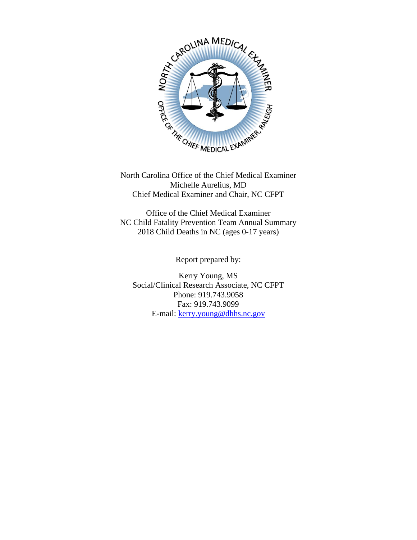

North Carolina Office of the Chief Medical Examiner Michelle Aurelius, MD Chief Medical Examiner and Chair, NC CFPT

Office of the Chief Medical Examiner NC Child Fatality Prevention Team Annual Summary 2018 Child Deaths in NC (ages 0-17 years)

Report prepared by:

Kerry Young, MS Social/Clinical Research Associate, NC CFPT Phone: 919.743.9058 Fax: 919.743.9099 E-mail: [kerry.young@dhhs.nc.gov](mailto:kerry.young@dhhs.nc.gov)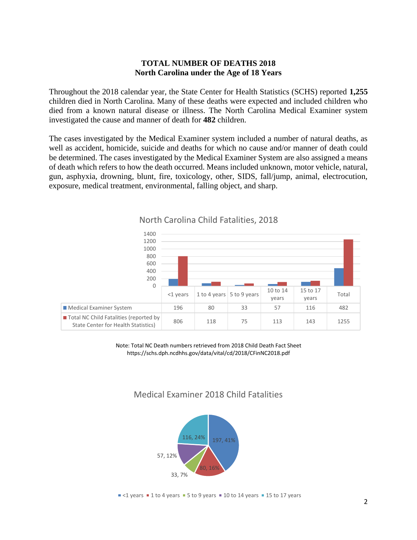## **TOTAL NUMBER OF DEATHS 2018 North Carolina under the Age of 18 Years**

Throughout the 2018 calendar year, the State Center for Health Statistics (SCHS) reported **1,255**  children died in North Carolina. Many of these deaths were expected and included children who died from a known natural disease or illness. The North Carolina Medical Examiner system investigated the cause and manner of death for **482** children.

The cases investigated by the Medical Examiner system included a number of natural deaths, as well as accident, homicide, suicide and deaths for which no cause and/or manner of death could be determined. The cases investigated by the Medical Examiner System are also assigned a means of death which refers to how the death occurred. Means included unknown, motor vehicle, natural, gun, asphyxia, drowning, blunt, fire, toxicology, other, SIDS, fall/jump, animal, electrocution, exposure, medical treatment, environmental, falling object, and sharp.



North Carolina Child Fatalities, 2018

Note: Total NC Death numbers retrieved from 2018 Child Death Fact Sheet https://schs.dph.ncdhhs.gov/data/vital/cd/2018/CFinNC2018.pdf

# Medical Examiner 2018 Child Fatalities

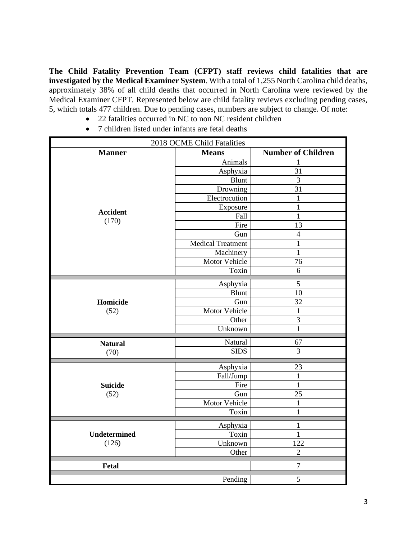**The Child Fatality Prevention Team (CFPT) staff reviews child fatalities that are investigated by the Medical Examiner System**. With a total of 1,255 North Carolina child deaths, approximately 38% of all child deaths that occurred in North Carolina were reviewed by the Medical Examiner CFPT. Represented below are child fatality reviews excluding pending cases, 5, which totals 477 children. Due to pending cases, numbers are subject to change. Of note:

- 22 fatalities occurred in NC to non NC resident children
- 7 children listed under infants are fetal deaths

| 2018 OCME Child Fatalities   |                          |                           |  |  |
|------------------------------|--------------------------|---------------------------|--|--|
| <b>Manner</b>                | <b>Means</b>             | <b>Number of Children</b> |  |  |
|                              | Animals                  | 1                         |  |  |
|                              | Asphyxia                 | 31                        |  |  |
|                              | Blunt                    | 3                         |  |  |
|                              | Drowning                 | 31                        |  |  |
|                              | Electrocution            | $\mathbf{1}$              |  |  |
|                              | Exposure                 | $\mathbf{1}$              |  |  |
| <b>Accident</b><br>(170)     | Fall                     | $\mathbf{1}$              |  |  |
|                              | Fire                     | 13                        |  |  |
|                              | Gun                      | $\overline{4}$            |  |  |
|                              | <b>Medical Treatment</b> | $\mathbf{1}$              |  |  |
|                              | Machinery                | $\mathbf{1}$              |  |  |
|                              | Motor Vehicle            | 76                        |  |  |
|                              | Toxin                    | 6                         |  |  |
|                              | Asphyxia                 | 5                         |  |  |
|                              | Blunt                    | 10                        |  |  |
| Homicide                     | Gun                      | 32                        |  |  |
| (52)                         | Motor Vehicle            | $\mathbf{1}$              |  |  |
|                              | Other                    | $\overline{\mathbf{3}}$   |  |  |
|                              | Unknown                  | $\mathbf{1}$              |  |  |
|                              |                          |                           |  |  |
| <b>Natural</b>               | Natural                  | 67                        |  |  |
| (70)                         | <b>SIDS</b>              | $\overline{3}$            |  |  |
|                              | 23                       |                           |  |  |
|                              | Asphyxia<br>Fall/Jump    | $\mathbf{1}$              |  |  |
| <b>Suicide</b><br>(52)       | Fire                     | $\mathbf{1}$              |  |  |
|                              | Gun                      | 25                        |  |  |
|                              | Motor Vehicle            | 1                         |  |  |
|                              | Toxin                    | $\mathbf{1}$              |  |  |
|                              |                          |                           |  |  |
|                              | Asphyxia                 | $\mathbf{1}$              |  |  |
| <b>Undetermined</b><br>(126) | Toxin                    | $\mathbf{1}$              |  |  |
|                              | Unknown                  | 122                       |  |  |
|                              | Other                    | $\overline{2}$            |  |  |
| <b>Fetal</b><br>$\tau$       |                          |                           |  |  |
|                              | Pending                  | 5                         |  |  |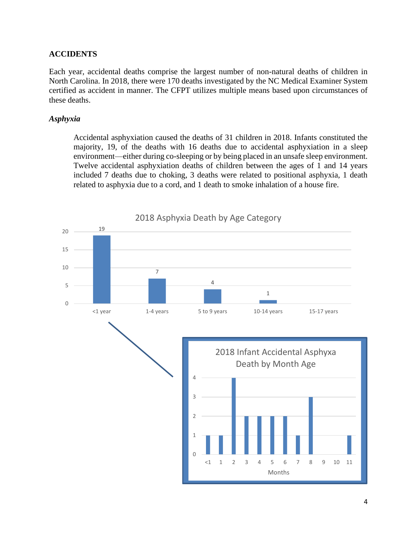## **ACCIDENTS**

Each year, accidental deaths comprise the largest number of non-natural deaths of children in North Carolina. In 2018, there were 170 deaths investigated by the NC Medical Examiner System certified as accident in manner. The CFPT utilizes multiple means based upon circumstances of these deaths.

#### *Asphyxia*

Accidental asphyxiation caused the deaths of 31 children in 2018. Infants constituted the majority, 19, of the deaths with 16 deaths due to accidental asphyxiation in a sleep environment—either during co-sleeping or by being placed in an unsafe sleep environment. Twelve accidental asphyxiation deaths of children between the ages of 1 and 14 years included 7 deaths due to choking, 3 deaths were related to positional asphyxia, 1 death related to asphyxia due to a cord, and 1 death to smoke inhalation of a house fire.

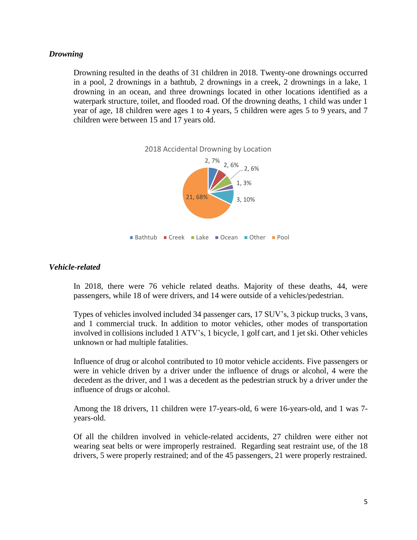### *Drowning*

Drowning resulted in the deaths of 31 children in 2018. Twenty-one drownings occurred in a pool, 2 drownings in a bathtub, 2 drownings in a creek, 2 drownings in a lake, 1 drowning in an ocean, and three drownings located in other locations identified as a waterpark structure, toilet, and flooded road. Of the drowning deaths, 1 child was under 1 year of age, 18 children were ages 1 to 4 years, 5 children were ages 5 to 9 years, and 7 children were between 15 and 17 years old.



#### *Vehicle-related*

In 2018, there were 76 vehicle related deaths. Majority of these deaths, 44, were passengers, while 18 of were drivers, and 14 were outside of a vehicles/pedestrian.

Types of vehicles involved included 34 passenger cars, 17 SUV's, 3 pickup trucks, 3 vans, and 1 commercial truck. In addition to motor vehicles, other modes of transportation involved in collisions included 1 ATV's, 1 bicycle, 1 golf cart, and 1 jet ski. Other vehicles unknown or had multiple fatalities.

Influence of drug or alcohol contributed to 10 motor vehicle accidents. Five passengers or were in vehicle driven by a driver under the influence of drugs or alcohol, 4 were the decedent as the driver, and 1 was a decedent as the pedestrian struck by a driver under the influence of drugs or alcohol.

Among the 18 drivers, 11 children were 17-years-old, 6 were 16-years-old, and 1 was 7 years-old.

Of all the children involved in vehicle-related accidents, 27 children were either not wearing seat belts or were improperly restrained. Regarding seat restraint use, of the 18 drivers, 5 were properly restrained; and of the 45 passengers, 21 were properly restrained.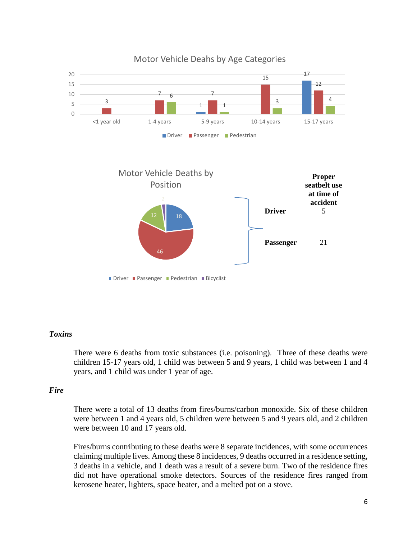

#### *Toxins*

There were 6 deaths from toxic substances (i.e. poisoning). Three of these deaths were children 15-17 years old, 1 child was between 5 and 9 years, 1 child was between 1 and 4 years, and 1 child was under 1 year of age.

#### *Fire*

There were a total of 13 deaths from fires/burns/carbon monoxide. Six of these children were between 1 and 4 years old, 5 children were between 5 and 9 years old, and 2 children were between 10 and 17 years old.

Fires/burns contributing to these deaths were 8 separate incidences, with some occurrences claiming multiple lives. Among these 8 incidences, 9 deaths occurred in a residence setting, 3 deaths in a vehicle, and 1 death was a result of a severe burn. Two of the residence fires did not have operational smoke detectors. Sources of the residence fires ranged from kerosene heater, lighters, space heater, and a melted pot on a stove.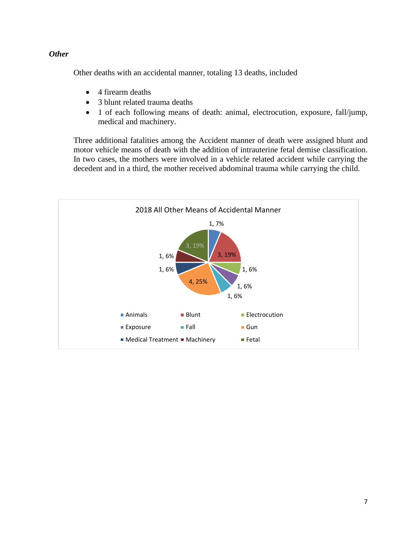## *Other*

Other deaths with an accidental manner, totaling 13 deaths, included

- 4 firearm deaths
- 3 blunt related trauma deaths
- 1 of each following means of death: animal, electrocution, exposure, fall/jump, medical and machinery.

Three additional fatalities among the Accident manner of death were assigned blunt and motor vehicle means of death with the addition of intrauterine fetal demise classification. In two cases, the mothers were involved in a vehicle related accident while carrying the decedent and in a third, the mother received abdominal trauma while carrying the child.

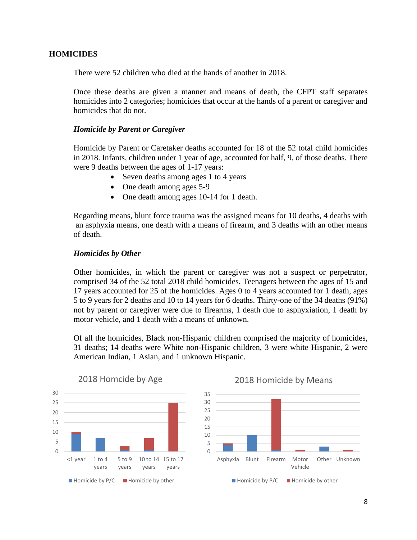### **HOMICIDES**

There were 52 children who died at the hands of another in 2018.

Once these deaths are given a manner and means of death, the CFPT staff separates homicides into 2 categories; homicides that occur at the hands of a parent or caregiver and homicides that do not.

#### *Homicide by Parent or Caregiver*

Homicide by Parent or Caretaker deaths accounted for 18 of the 52 total child homicides in 2018. Infants, children under 1 year of age, accounted for half, 9, of those deaths. There were 9 deaths between the ages of 1-17 years:

- Seven deaths among ages 1 to 4 years
- One death among ages 5-9
- One death among ages 10-14 for 1 death.

Regarding means, blunt force trauma was the assigned means for 10 deaths, 4 deaths with an asphyxia means, one death with a means of firearm, and 3 deaths with an other means of death.

#### *Homicides by Other*

Other homicides, in which the parent or caregiver was not a suspect or perpetrator, comprised 34 of the 52 total 2018 child homicides. Teenagers between the ages of 15 and 17 years accounted for 25 of the homicides. Ages 0 to 4 years accounted for 1 death, ages 5 to 9 years for 2 deaths and 10 to 14 years for 6 deaths. Thirty-one of the 34 deaths (91%) not by parent or caregiver were due to firearms, 1 death due to asphyxiation, 1 death by motor vehicle, and 1 death with a means of unknown.

Of all the homicides, Black non-Hispanic children comprised the majority of homicides, 31 deaths; 14 deaths were White non-Hispanic children, 3 were white Hispanic, 2 were American Indian, 1 Asian, and 1 unknown Hispanic.



#### 2018 Homcide by Age



### 2018 Homicide by Means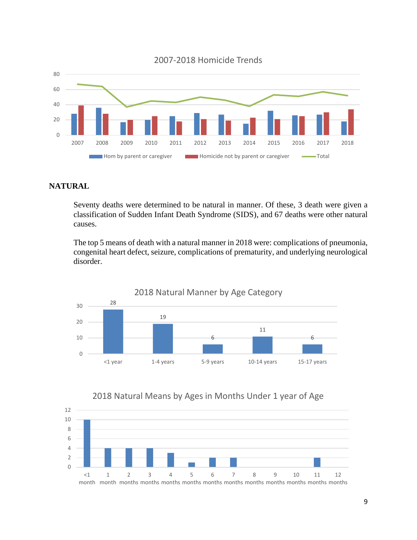

## **NATURAL**

Seventy deaths were determined to be natural in manner. Of these, 3 death were given a classification of Sudden Infant Death Syndrome (SIDS), and 67 deaths were other natural causes.

The top 5 means of death with a natural manner in 2018 were: complications of pneumonia, congenital heart defect, seizure, complications of prematurity, and underlying neurological disorder.



## 2018 Natural Means by Ages in Months Under 1 year of Age

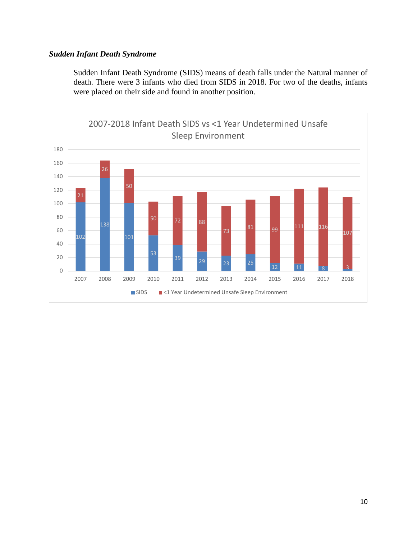## *Sudden Infant Death Syndrome*

Sudden Infant Death Syndrome (SIDS) means of death falls under the Natural manner of death. There were 3 infants who died from SIDS in 2018. For two of the deaths, infants were placed on their side and found in another position.

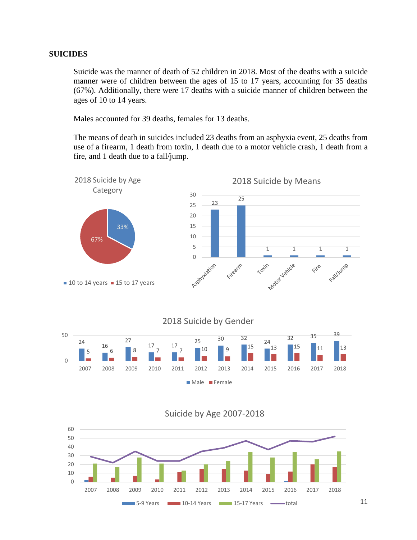#### **SUICIDES**

Suicide was the manner of death of 52 children in 2018. Most of the deaths with a suicide manner were of children between the ages of 15 to 17 years, accounting for 35 deaths (67%). Additionally, there were 17 deaths with a suicide manner of children between the ages of 10 to 14 years.

Males accounted for 39 deaths, females for 13 deaths.

The means of death in suicides included 23 deaths from an asphyxia event, 25 deaths from use of a firearm, 1 death from toxin, 1 death due to a motor vehicle crash, 1 death from a fire, and 1 death due to a fall/jump.



Suicide by Age 2007-2018

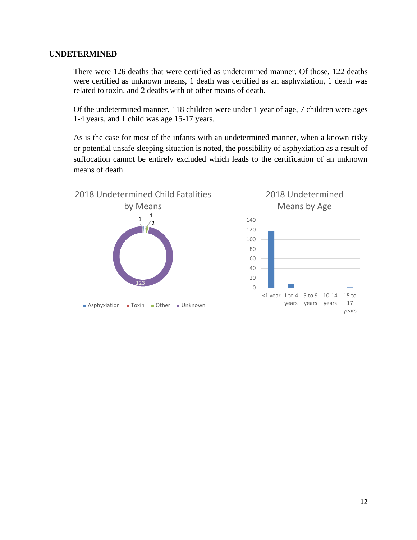### **UNDETERMINED**

There were 126 deaths that were certified as undetermined manner. Of those, 122 deaths were certified as unknown means, 1 death was certified as an asphyxiation, 1 death was related to toxin, and 2 deaths with of other means of death.

Of the undetermined manner, 118 children were under 1 year of age, 7 children were ages 1-4 years, and 1 child was age 15-17 years.

As is the case for most of the infants with an undetermined manner, when a known risky or potential unsafe sleeping situation is noted, the possibility of asphyxiation as a result of suffocation cannot be entirely excluded which leads to the certification of an unknown means of death.

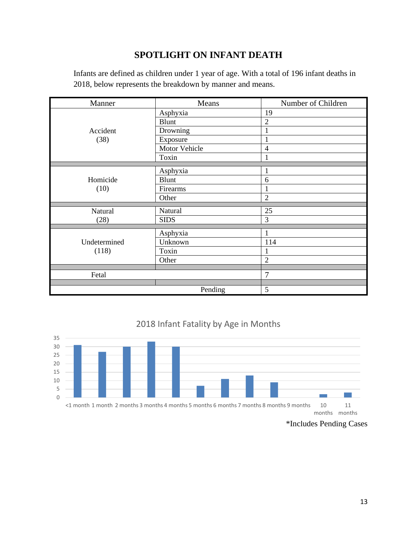# **SPOTLIGHT ON INFANT DEATH**

| Manner                | Means         | Number of Children |  |
|-----------------------|---------------|--------------------|--|
| Accident<br>(38)      | Asphyxia      | 19                 |  |
|                       | Blunt         | $\overline{c}$     |  |
|                       | Drowning      | 1                  |  |
|                       | Exposure      |                    |  |
|                       | Motor Vehicle | $\overline{4}$     |  |
|                       | Toxin         | 1                  |  |
|                       |               |                    |  |
|                       | Asphyxia      | 1                  |  |
| Homicide<br>(10)      | <b>Blunt</b>  | 6                  |  |
|                       | Firearms      |                    |  |
|                       | Other         | $\overline{2}$     |  |
|                       |               |                    |  |
| Natural               | Natural       | 25                 |  |
| (28)                  | <b>SIDS</b>   | 3                  |  |
|                       |               |                    |  |
| Undetermined<br>(118) | Asphyxia      |                    |  |
|                       | Unknown       | 114                |  |
|                       | Toxin         | 1                  |  |
|                       | Other         | $\overline{2}$     |  |
|                       |               |                    |  |
| Fetal                 |               | $\overline{7}$     |  |
|                       |               |                    |  |
|                       | Pending       | 5                  |  |

Infants are defined as children under 1 year of age. With a total of 196 infant deaths in 2018, below represents the breakdown by manner and means.

# 2018 Infant Fatality by Age in Months



<sup>\*</sup>Includes Pending Cases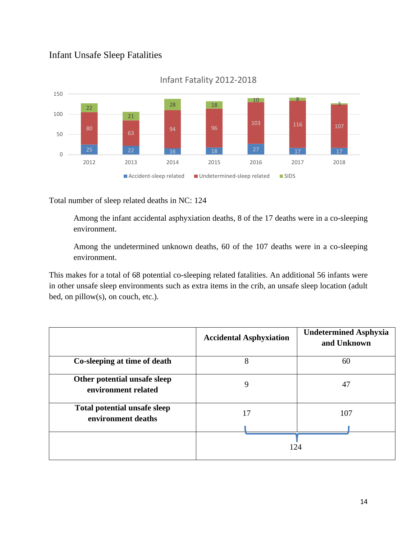# Infant Unsafe Sleep Fatalities



## Infant Fatality 2012-2018

Total number of sleep related deaths in NC: 124

Among the infant accidental asphyxiation deaths, 8 of the 17 deaths were in a co-sleeping environment.

Among the undetermined unknown deaths, 60 of the 107 deaths were in a co-sleeping environment.

This makes for a total of 68 potential co-sleeping related fatalities. An additional 56 infants were in other unsafe sleep environments such as extra items in the crib, an unsafe sleep location (adult bed, on pillow(s), on couch, etc.).

|                                                     | <b>Accidental Asphyxiation</b> | <b>Undetermined Asphyxia</b><br>and Unknown |
|-----------------------------------------------------|--------------------------------|---------------------------------------------|
| Co-sleeping at time of death                        | 8                              | 60                                          |
| Other potential unsafe sleep<br>environment related | 9                              | 47                                          |
| Total potential unsafe sleep<br>environment deaths  | 17                             | 107                                         |
|                                                     |                                | 124                                         |